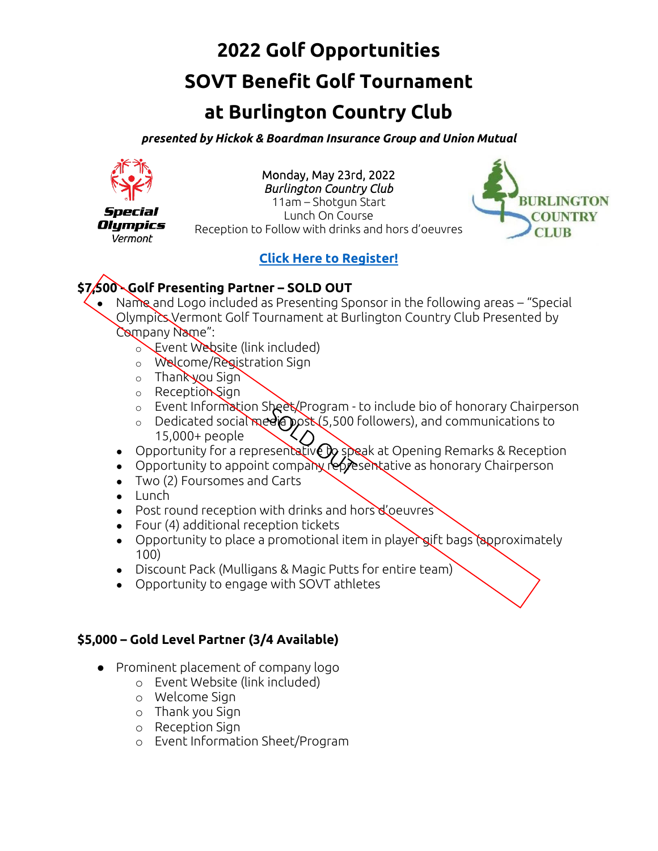# **2022 Golf Opportunities SOVT Benefit Golf Tournament**

# **at Burlington Country Club**

*presented by Hickok & Boardman Insurance Group and Union Mutual*



Special **Olympics** Vermont

Monday, May 23rd, 2022 *Burlington Country Club*  11am – Shotgun Start

Lunch On Course Reception to Follow with drinks and hors d'oeuvres



# **[Click Here to Register!](https://form.jotform.com/220854996297171)**

# **\$7,500 - Golf Presenting Partner – SOLD OUT**

- Name and Logo included as Presenting Sponsor in the following areas "Special Olympics Vermont Golf Tournament at Burlington Country Club Presented by Company Name":
	- **Event Website (link included)**
	- o Welcome/Registration Sign
	- o Thank you Sign
	- o Reception Sign
	- o Event Information Sheet/Program to include bio of honorary Chairperson
	- o Dedicated social media post (5,500 followers), and communications to 15,000+ people
	- Opportunity for a representative by speak at Opening Remarks & Reception
	- Opportunity to appoint company representative as honorary Chairperson
	- Two (2) Foursomes and Carts
	- Lunch
	- Post round reception with drinks and hors d'oeuvres
	- Four (4) additional reception tickets
	- Opportunity to place a promotional item in player gift bags (approximately 100)
	- Discount Pack (Mulligans & Magic Putts for entire team)
	- Opportunity to engage with SOVT athletes

### **\$5,000 – Gold Level Partner (3/4 Available)**

- Prominent placement of company logo
	- o Event Website (link included)
	- o Welcome Sign
	- o Thank you Sign
	- o Reception Sign
	- o Event Information Sheet/Program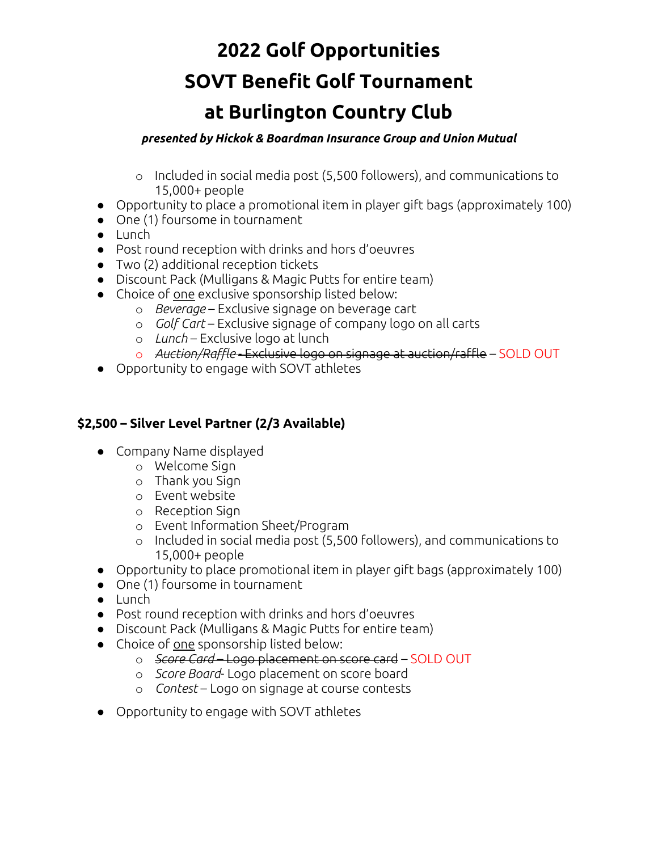# **2022 Golf Opportunities SOVT Benefit Golf Tournament at Burlington Country Club**

#### *presented by Hickok & Boardman Insurance Group and Union Mutual*

- o Included in social media post (5,500 followers), and communications to 15,000+ people
- Opportunity to place a promotional item in player gift bags (approximately 100)
- One (1) foursome in tournament
- Lunch
- Post round reception with drinks and hors d'oeuvres
- Two (2) additional reception tickets
- Discount Pack (Mulligans & Magic Putts for entire team)
- Choice of one exclusive sponsorship listed below:
	- o *Beverage*  Exclusive signage on beverage cart
	- o *Golf Cart* Exclusive signage of company logo on all carts
	- o *Lunch*  Exclusive logo at lunch
	- o *Auction/Raffle* Exclusive logo on signage at auction/raffle SOLD OUT
- Opportunity to engage with SOVT athletes

### **\$2,500 – Silver Level Partner (2/3 Available)**

- Company Name displayed
	- o Welcome Sign
	- o Thank you Sign
	- o Event website
	- o Reception Sign
	- o Event Information Sheet/Program
	- o Included in social media post (5,500 followers), and communications to 15,000+ people
- Opportunity to place promotional item in player gift bags (approximately 100)
- One (1) foursome in tournament
- Lunch
- Post round reception with drinks and hors d'oeuvres
- Discount Pack (Mulligans & Magic Putts for entire team)
- Choice of one sponsorship listed below:
	- o *Score Card* Logo placement on score card SOLD OUT
	- o *Score Board* Logo placement on score board
	- o *Contest*  Logo on signage at course contests
- Opportunity to engage with SOVT athletes